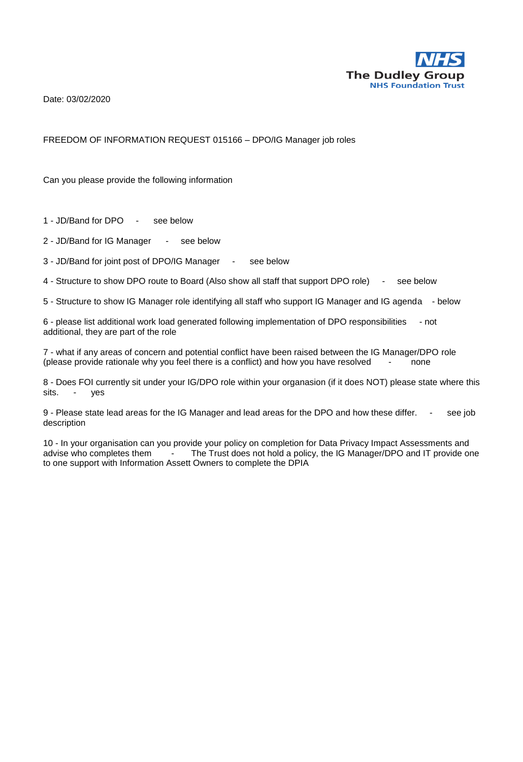

Date: 03/02/2020

#### FREEDOM OF INFORMATION REQUEST 015166 – DPO/IG Manager job roles

Can you please provide the following information

1 - JD/Band for DPO - see below

2 - JD/Band for IG Manager - see below

3 - JD/Band for joint post of DPO/IG Manager - see below

4 - Structure to show DPO route to Board (Also show all staff that support DPO role) - see below

5 - Structure to show IG Manager role identifying all staff who support IG Manager and IG agenda - below

6 - please list additional work load generated following implementation of DPO responsibilities - not additional, they are part of the role

7 - what if any areas of concern and potential conflict have been raised between the IG Manager/DPO role (please provide rationale why you feel there is a conflict) and how you have resolved - none

8 - Does FOI currently sit under your IG/DPO role within your organasion (if it does NOT) please state where this sits. - yes

9 - Please state lead areas for the IG Manager and lead areas for the DPO and how these differ. - see job description

10 - In your organisation can you provide your policy on completion for Data Privacy Impact Assessments and advise who completes them The Trust does not hold a policy, the IG Manager/DPO and IT provide one to one support with Information Assett Owners to complete the DPIA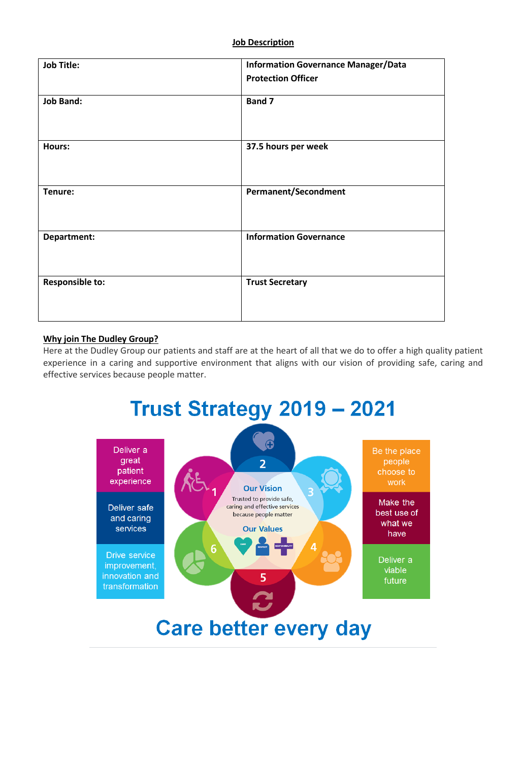#### **Job Description**

| <b>Job Title:</b>      | <b>Information Governance Manager/Data</b> |
|------------------------|--------------------------------------------|
|                        | <b>Protection Officer</b>                  |
| <b>Job Band:</b>       | Band 7                                     |
| Hours:                 | 37.5 hours per week                        |
| Tenure:                | <b>Permanent/Secondment</b>                |
| Department:            | <b>Information Governance</b>              |
| <b>Responsible to:</b> | <b>Trust Secretary</b>                     |

#### **Why join The Dudley Group?**

Here at the Dudley Group our patients and staff are at the heart of all that we do to offer a high quality patient experience in a caring and supportive environment that aligns with our vision of providing safe, caring and effective services because people matter.

# **Trust Strategy 2019 - 2021**

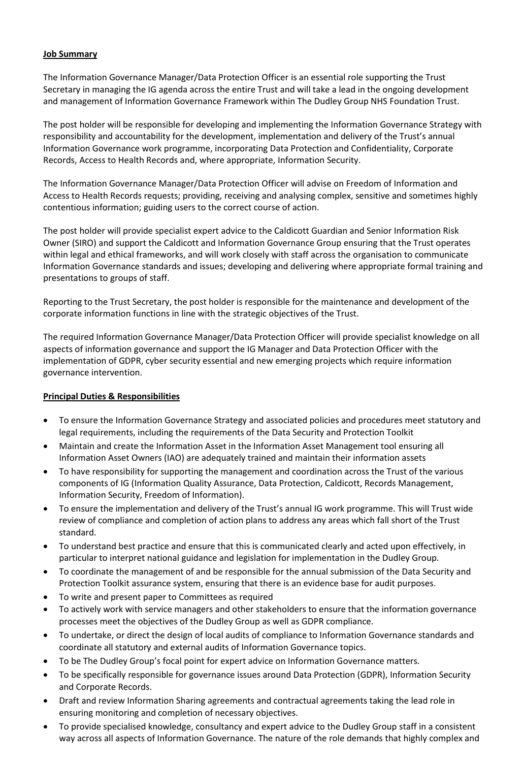# **Job Summary**

The Information Governance Manager/Data Protection Officer is an essential role supporting the Trust Secretary in managing the IG agenda across the entire Trust and will take a lead in the ongoing development and management of Information Governance Framework within The Dudley Group NHS Foundation Trust.

The post holder will be responsible for developing and implementing the Information Governance Strategy with responsibility and accountability for the development, implementation and delivery of the Trust's annual Information Governance work programme, incorporating Data Protection and Confidentiality, Corporate Records, Access to Health Records and, where appropriate, Information Security.

The Information Governance Manager/Data Protection Officer will advise on Freedom of Information and Access to Health Records requests; providing, receiving and analysing complex, sensitive and sometimes highly contentious information; guiding users to the correct course of action.

The post holder will provide specialist expert advice to the Caldicott Guardian and Senior Information Risk Owner (SIRO) and support the Caldicott and Information Governance Group ensuring that the Trust operates within legal and ethical frameworks, and will work closely with staff across the organisation to communicate Information Governance standards and issues; developing and delivering where appropriate formal training and presentations to groups of staff.

Reporting to the Trust Secretary, the post holder is responsible for the maintenance and development of the corporate information functions in line with the strategic objectives of the Trust.

The required Information Governance Manager/Data Protection Officer will provide specialist knowledge on all aspects of information governance and support the IG Manager and Data Protection Officer with the implementation of GDPR, cyber security essential and new emerging projects which require information governance intervention.

# **Principal Duties & Responsibilities**

- To ensure the Information Governance Strategy and associated policies and procedures meet statutory and legal requirements, including the requirements of the Data Security and Protection Toolkit
- Maintain and create the Information Asset in the Information Asset Management tool ensuring all Information Asset Owners (IAO) are adequately trained and maintain their information assets
- To have responsibility for supporting the management and coordination across the Trust of the various components of IG (Information Quality Assurance, Data Protection, Caldicott, Records Management, Information Security, Freedom of Information).
- To ensure the implementation and delivery of the Trust's annual IG work programme. This will Trust wide review of compliance and completion of action plans to address any areas which fall short of the Trust standard.
- To understand best practice and ensure that this is communicated clearly and acted upon effectively, in particular to interpret national guidance and legislation for implementation in the Dudley Group.
- To coordinate the management of and be responsible for the annual submission of the Data Security and Protection Toolkit assurance system, ensuring that there is an evidence base for audit purposes.
- To write and present paper to Committees as required
- To actively work with service managers and other stakeholders to ensure that the information governance processes meet the objectives of the Dudley Group as well as GDPR compliance.
- To undertake, or direct the design of local audits of compliance to Information Governance standards and coordinate all statutory and external audits of Information Governance topics.
- To be The Dudley Group's focal point for expert advice on Information Governance matters.
- To be specifically responsible for governance issues around Data Protection (GDPR), Information Security and Corporate Records.
- Draft and review Information Sharing agreements and contractual agreements taking the lead role in ensuring monitoring and completion of necessary objectives.
- To provide specialised knowledge, consultancy and expert advice to the Dudley Group staff in a consistent way across all aspects of Information Governance. The nature of the role demands that highly complex and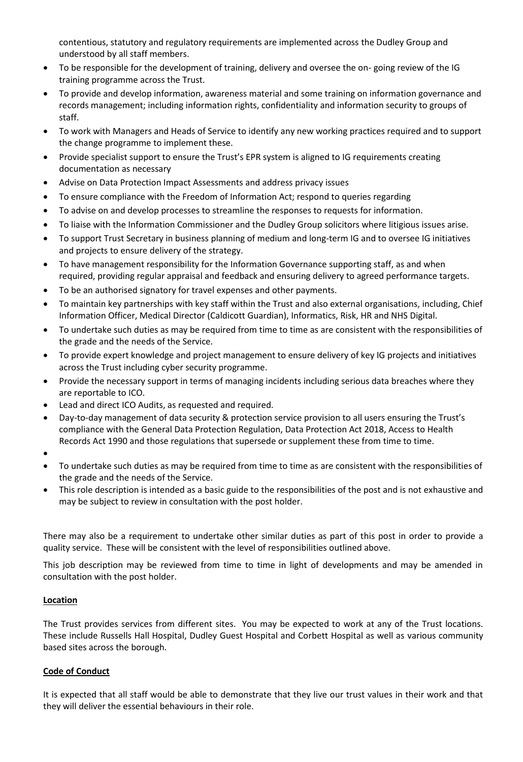contentious, statutory and regulatory requirements are implemented across the Dudley Group and understood by all staff members.

- To be responsible for the development of training, delivery and oversee the on- going review of the IG training programme across the Trust.
- To provide and develop information, awareness material and some training on information governance and records management; including information rights, confidentiality and information security to groups of staff.
- To work with Managers and Heads of Service to identify any new working practices required and to support the change programme to implement these.
- Provide specialist support to ensure the Trust's EPR system is aligned to IG requirements creating documentation as necessary
- Advise on Data Protection Impact Assessments and address privacy issues
- To ensure compliance with the Freedom of Information Act; respond to queries regarding
- To advise on and develop processes to streamline the responses to requests for information.
- To liaise with the Information Commissioner and the Dudley Group solicitors where litigious issues arise.
- To support Trust Secretary in business planning of medium and long-term IG and to oversee IG initiatives and projects to ensure delivery of the strategy.
- To have management responsibility for the Information Governance supporting staff, as and when required, providing regular appraisal and feedback and ensuring delivery to agreed performance targets.
- To be an authorised signatory for travel expenses and other payments.
- To maintain key partnerships with key staff within the Trust and also external organisations, including, Chief Information Officer, Medical Director (Caldicott Guardian), Informatics, Risk, HR and NHS Digital.
- To undertake such duties as may be required from time to time as are consistent with the responsibilities of the grade and the needs of the Service.
- To provide expert knowledge and project management to ensure delivery of key IG projects and initiatives across the Trust including cyber security programme.
- Provide the necessary support in terms of managing incidents including serious data breaches where they are reportable to ICO.
- Lead and direct ICO Audits, as requested and required.
- Day-to-day management of data security & protection service provision to all users ensuring the Trust's compliance with the General Data Protection Regulation, Data Protection Act 2018, Access to Health Records Act 1990 and those regulations that supersede or supplement these from time to time.
- $\bullet$
- To undertake such duties as may be required from time to time as are consistent with the responsibilities of the grade and the needs of the Service.
- This role description is intended as a basic guide to the responsibilities of the post and is not exhaustive and may be subject to review in consultation with the post holder.

There may also be a requirement to undertake other similar duties as part of this post in order to provide a quality service. These will be consistent with the level of responsibilities outlined above.

This job description may be reviewed from time to time in light of developments and may be amended in consultation with the post holder.

## **Location**

The Trust provides services from different sites. You may be expected to work at any of the Trust locations. These include Russells Hall Hospital, Dudley Guest Hospital and Corbett Hospital as well as various community based sites across the borough.

## **Code of Conduct**

It is expected that all staff would be able to demonstrate that they live our trust values in their work and that they will deliver the essential behaviours in their role.